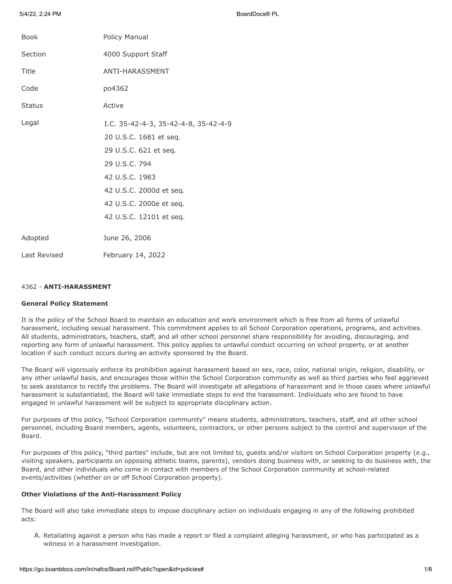5/4/22, 2:24 PM BoardDocs® PL

| <b>Book</b>   | Policy Manual                                                                                                                                                                                               |
|---------------|-------------------------------------------------------------------------------------------------------------------------------------------------------------------------------------------------------------|
| Section       | 4000 Support Staff                                                                                                                                                                                          |
| Title         | ANTI-HARASSMENT                                                                                                                                                                                             |
| Code          | po4362                                                                                                                                                                                                      |
| <b>Status</b> | Active                                                                                                                                                                                                      |
| Legal         | I.C. 35-42-4-3, 35-42-4-8, 35-42-4-9<br>20 U.S.C. 1681 et seq.<br>29 U.S.C. 621 et seq.<br>29 U.S.C. 794<br>42 U.S.C. 1983<br>42 U.S.C. 2000d et seq.<br>42 U.S.C. 2000e et seq.<br>42 U.S.C. 12101 et seq. |
| Adopted       | June 26, 2006                                                                                                                                                                                               |
| Last Revised  | February 14, 2022                                                                                                                                                                                           |

# 4362 - **ANTI-HARASSMENT**

### **General Policy Statement**

It is the policy of the School Board to maintain an education and work environment which is free from all forms of unlawful harassment, including sexual harassment. This commitment applies to all School Corporation operations, programs, and activities. All students, administrators, teachers, staff, and all other school personnel share responsibility for avoiding, discouraging, and reporting any form of unlawful harassment. This policy applies to unlawful conduct occurring on school property, or at another location if such conduct occurs during an activity sponsored by the Board.

The Board will vigorously enforce its prohibition against harassment based on sex, race, color, national origin, religion, disability, or any other unlawful basis, and encourages those within the School Corporation community as well as third parties who feel aggrieved to seek assistance to rectify the problems. The Board will investigate all allegations of harassment and in those cases where unlawful harassment is substantiated, the Board will take immediate steps to end the harassment. Individuals who are found to have engaged in unlawful harassment will be subject to appropriate disciplinary action.

For purposes of this policy, "School Corporation community" means students, administrators, teachers, staff, and all other school personnel, including Board members, agents, volunteers, contractors, or other persons subject to the control and supervision of the Board.

For purposes of this policy, "third parties" include, but are not limited to, guests and/or visitors on School Corporation property (e.g., visiting speakers, participants on opposing athletic teams, parents), vendors doing business with, or seeking to do business with, the Board, and other individuals who come in contact with members of the School Corporation community at school-related events/activities (whether on or off School Corporation property).

# **Other Violations of the Anti-Harassment Policy**

The Board will also take immediate steps to impose disciplinary action on individuals engaging in any of the following prohibited acts:

A. Retaliating against a person who has made a report or filed a complaint alleging harassment, or who has participated as a witness in a harassment investigation.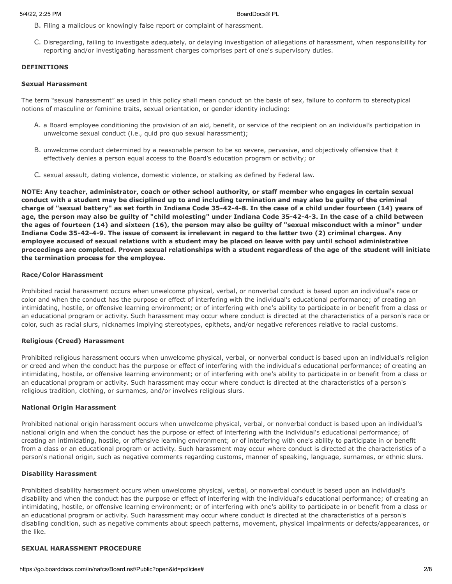- B. Filing a malicious or knowingly false report or complaint of harassment.
- C. Disregarding, failing to investigate adequately, or delaying investigation of allegations of harassment, when responsibility for reporting and/or investigating harassment charges comprises part of one's supervisory duties.

## **DEFINITIONS**

### **Sexual Harassment**

The term "sexual harassment" as used in this policy shall mean conduct on the basis of sex, failure to conform to stereotypical notions of masculine or feminine traits, sexual orientation, or gender identity including:

- A. a Board employee conditioning the provision of an aid, benefit, or service of the recipient on an individual's participation in unwelcome sexual conduct (i.e., quid pro quo sexual harassment);
- B. unwelcome conduct determined by a reasonable person to be so severe, pervasive, and objectively offensive that it effectively denies a person equal access to the Board's education program or activity; or
- C. sexual assault, dating violence, domestic violence, or stalking as defined by Federal law.

**NOTE: Any teacher, administrator, coach or other school authority, or staff member who engages in certain sexual conduct with a student may be disciplined up to and including termination and may also be guilty of the criminal charge of "sexual battery" as set forth in Indiana Code 35-42-4-8. In the case of a child under fourteen (14) years of age, the person may also be guilty of "child molesting" under Indiana Code 35-42-4-3. In the case of a child between the ages of fourteen (14) and sixteen (16), the person may also be guilty of "sexual misconduct with a minor" under Indiana Code 35-42-4-9. The issue of consent is irrelevant in regard to the latter two (2) criminal charges. Any employee accused of sexual relations with a student may be placed on leave with pay until school administrative proceedings are completed. Proven sexual relationships with a student regardless of the age of the student will initiate the termination process for the employee.**

### **Race/Color Harassment**

Prohibited racial harassment occurs when unwelcome physical, verbal, or nonverbal conduct is based upon an individual's race or color and when the conduct has the purpose or effect of interfering with the individual's educational performance; of creating an intimidating, hostile, or offensive learning environment; or of interfering with one's ability to participate in or benefit from a class or an educational program or activity. Such harassment may occur where conduct is directed at the characteristics of a person's race or color, such as racial slurs, nicknames implying stereotypes, epithets, and/or negative references relative to racial customs.

## **Religious (Creed) Harassment**

Prohibited religious harassment occurs when unwelcome physical, verbal, or nonverbal conduct is based upon an individual's religion or creed and when the conduct has the purpose or effect of interfering with the individual's educational performance; of creating an intimidating, hostile, or offensive learning environment; or of interfering with one's ability to participate in or benefit from a class or an educational program or activity. Such harassment may occur where conduct is directed at the characteristics of a person's religious tradition, clothing, or surnames, and/or involves religious slurs.

### **National Origin Harassment**

Prohibited national origin harassment occurs when unwelcome physical, verbal, or nonverbal conduct is based upon an individual's national origin and when the conduct has the purpose or effect of interfering with the individual's educational performance; of creating an intimidating, hostile, or offensive learning environment; or of interfering with one's ability to participate in or benefit from a class or an educational program or activity. Such harassment may occur where conduct is directed at the characteristics of a person's national origin, such as negative comments regarding customs, manner of speaking, language, surnames, or ethnic slurs.

### **Disability Harassment**

Prohibited disability harassment occurs when unwelcome physical, verbal, or nonverbal conduct is based upon an individual's disability and when the conduct has the purpose or effect of interfering with the individual's educational performance; of creating an intimidating, hostile, or offensive learning environment; or of interfering with one's ability to participate in or benefit from a class or an educational program or activity. Such harassment may occur where conduct is directed at the characteristics of a person's disabling condition, such as negative comments about speech patterns, movement, physical impairments or defects/appearances, or the like.

# **SEXUAL HARASSMENT PROCEDURE**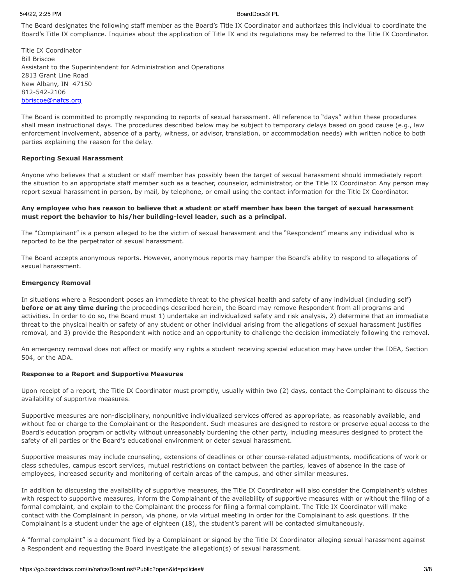### 5/4/22, 2:25 PM BoardDocs® PL

The Board designates the following staff member as the Board's Title IX Coordinator and authorizes this individual to coordinate the Board's Title IX compliance. Inquiries about the application of Title IX and its regulations may be referred to the Title IX Coordinator.

Title IX Coordinator Bill Briscoe Assistant to the Superintendent for Administration and Operations 2813 Grant Line Road New Albany, IN 47150 812-542-2106 [bbriscoe@nafcs.org](mailto:bbriscoe@nafcs.org)

The Board is committed to promptly responding to reports of sexual harassment. All reference to "days" within these procedures shall mean instructional days. The procedures described below may be subject to temporary delays based on good cause (e.g., law enforcement involvement, absence of a party, witness, or advisor, translation, or accommodation needs) with written notice to both parties explaining the reason for the delay.

# **Reporting Sexual Harassment**

Anyone who believes that a student or staff member has possibly been the target of sexual harassment should immediately report the situation to an appropriate staff member such as a teacher, counselor, administrator, or the Title IX Coordinator. Any person may report sexual harassment in person, by mail, by telephone, or email using the contact information for the Title IX Coordinator.

# **Any employee who has reason to believe that a student or staff member has been the target of sexual harassment must report the behavior to his/her building-level leader, such as a principal.**

The "Complainant" is a person alleged to be the victim of sexual harassment and the "Respondent" means any individual who is reported to be the perpetrator of sexual harassment.

The Board accepts anonymous reports. However, anonymous reports may hamper the Board's ability to respond to allegations of sexual harassment.

### **Emergency Removal**

In situations where a Respondent poses an immediate threat to the physical health and safety of any individual (including self) **before or at any time during** the proceedings described herein, the Board may remove Respondent from all programs and activities. In order to do so, the Board must 1) undertake an individualized safety and risk analysis, 2) determine that an immediate threat to the physical health or safety of any student or other individual arising from the allegations of sexual harassment justifies removal, and 3) provide the Respondent with notice and an opportunity to challenge the decision immediately following the removal.

An emergency removal does not affect or modify any rights a student receiving special education may have under the IDEA, Section 504, or the ADA.

### **Response to a Report and Supportive Measures**

Upon receipt of a report, the Title IX Coordinator must promptly, usually within two (2) days, contact the Complainant to discuss the availability of supportive measures.

Supportive measures are non-disciplinary, nonpunitive individualized services offered as appropriate, as reasonably available, and without fee or charge to the Complainant or the Respondent. Such measures are designed to restore or preserve equal access to the Board's education program or activity without unreasonably burdening the other party, including measures designed to protect the safety of all parties or the Board's educational environment or deter sexual harassment.

Supportive measures may include counseling, extensions of deadlines or other course-related adjustments, modifications of work or class schedules, campus escort services, mutual restrictions on contact between the parties, leaves of absence in the case of employees, increased security and monitoring of certain areas of the campus, and other similar measures.

In addition to discussing the availability of supportive measures, the Title IX Coordinator will also consider the Complainant's wishes with respect to supportive measures, inform the Complainant of the availability of supportive measures with or without the filing of a formal complaint, and explain to the Complainant the process for filing a formal complaint. The Title IX Coordinator will make contact with the Complainant in person, via phone, or via virtual meeting in order for the Complainant to ask questions. If the Complainant is a student under the age of eighteen (18), the student's parent will be contacted simultaneously.

A "formal complaint" is a document filed by a Complainant or signed by the Title IX Coordinator alleging sexual harassment against a Respondent and requesting the Board investigate the allegation(s) of sexual harassment.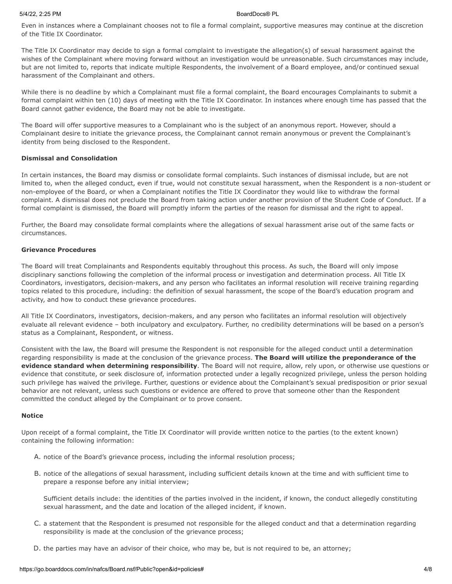Even in instances where a Complainant chooses not to file a formal complaint, supportive measures may continue at the discretion of the Title IX Coordinator.

The Title IX Coordinator may decide to sign a formal complaint to investigate the allegation(s) of sexual harassment against the wishes of the Complainant where moving forward without an investigation would be unreasonable. Such circumstances may include, but are not limited to, reports that indicate multiple Respondents, the involvement of a Board employee, and/or continued sexual harassment of the Complainant and others.

While there is no deadline by which a Complainant must file a formal complaint, the Board encourages Complainants to submit a formal complaint within ten (10) days of meeting with the Title IX Coordinator. In instances where enough time has passed that the Board cannot gather evidence, the Board may not be able to investigate.

The Board will offer supportive measures to a Complainant who is the subject of an anonymous report. However, should a Complainant desire to initiate the grievance process, the Complainant cannot remain anonymous or prevent the Complainant's identity from being disclosed to the Respondent.

# **Dismissal and Consolidation**

In certain instances, the Board may dismiss or consolidate formal complaints. Such instances of dismissal include, but are not limited to, when the alleged conduct, even if true, would not constitute sexual harassment, when the Respondent is a non-student or non-employee of the Board, or when a Complainant notifies the Title IX Coordinator they would like to withdraw the formal complaint. A dismissal does not preclude the Board from taking action under another provision of the Student Code of Conduct. If a formal complaint is dismissed, the Board will promptly inform the parties of the reason for dismissal and the right to appeal.

Further, the Board may consolidate formal complaints where the allegations of sexual harassment arise out of the same facts or circumstances.

## **Grievance Procedures**

The Board will treat Complainants and Respondents equitably throughout this process. As such, the Board will only impose disciplinary sanctions following the completion of the informal process or investigation and determination process. All Title IX Coordinators, investigators, decision-makers, and any person who facilitates an informal resolution will receive training regarding topics related to this procedure, including: the definition of sexual harassment, the scope of the Board's education program and activity, and how to conduct these grievance procedures.

All Title IX Coordinators, investigators, decision-makers, and any person who facilitates an informal resolution will objectively evaluate all relevant evidence – both inculpatory and exculpatory. Further, no credibility determinations will be based on a person's status as a Complainant, Respondent, or witness.

Consistent with the law, the Board will presume the Respondent is not responsible for the alleged conduct until a determination regarding responsibility is made at the conclusion of the grievance process. **The Board will utilize the preponderance of the evidence standard when determining responsibility**. The Board will not require, allow, rely upon, or otherwise use questions or evidence that constitute, or seek disclosure of, information protected under a legally recognized privilege, unless the person holding such privilege has waived the privilege. Further, questions or evidence about the Complainant's sexual predisposition or prior sexual behavior are not relevant, unless such questions or evidence are offered to prove that someone other than the Respondent committed the conduct alleged by the Complainant or to prove consent.

### **Notice**

Upon receipt of a formal complaint, the Title IX Coordinator will provide written notice to the parties (to the extent known) containing the following information:

- A. notice of the Board's grievance process, including the informal resolution process;
- B. notice of the allegations of sexual harassment, including sufficient details known at the time and with sufficient time to prepare a response before any initial interview;

Sufficient details include: the identities of the parties involved in the incident, if known, the conduct allegedly constituting sexual harassment, and the date and location of the alleged incident, if known.

- C. a statement that the Respondent is presumed not responsible for the alleged conduct and that a determination regarding responsibility is made at the conclusion of the grievance process;
- D. the parties may have an advisor of their choice, who may be, but is not required to be, an attorney;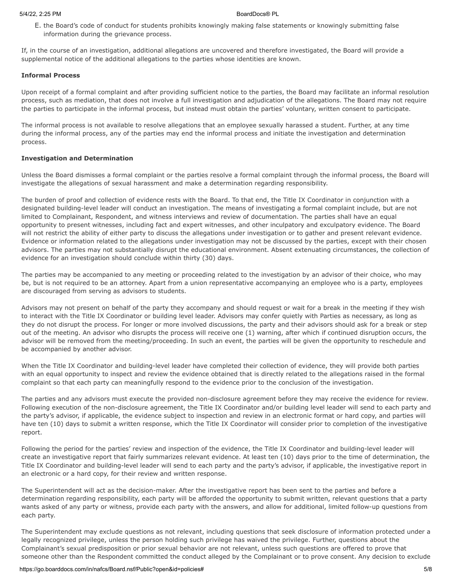E. the Board's code of conduct for students prohibits knowingly making false statements or knowingly submitting false information during the grievance process.

If, in the course of an investigation, additional allegations are uncovered and therefore investigated, the Board will provide a supplemental notice of the additional allegations to the parties whose identities are known.

### **Informal Process**

Upon receipt of a formal complaint and after providing sufficient notice to the parties, the Board may facilitate an informal resolution process, such as mediation, that does not involve a full investigation and adjudication of the allegations. The Board may not require the parties to participate in the informal process, but instead must obtain the parties' voluntary, written consent to participate.

The informal process is not available to resolve allegations that an employee sexually harassed a student. Further, at any time during the informal process, any of the parties may end the informal process and initiate the investigation and determination process.

## **Investigation and Determination**

Unless the Board dismisses a formal complaint or the parties resolve a formal complaint through the informal process, the Board will investigate the allegations of sexual harassment and make a determination regarding responsibility.

The burden of proof and collection of evidence rests with the Board. To that end, the Title IX Coordinator in conjunction with a designated building-level leader will conduct an investigation. The means of investigating a formal complaint include, but are not limited to Complainant, Respondent, and witness interviews and review of documentation. The parties shall have an equal opportunity to present witnesses, including fact and expert witnesses, and other inculpatory and exculpatory evidence. The Board will not restrict the ability of either party to discuss the allegations under investigation or to gather and present relevant evidence. Evidence or information related to the allegations under investigation may not be discussed by the parties, except with their chosen advisors. The parties may not substantially disrupt the educational environment. Absent extenuating circumstances, the collection of evidence for an investigation should conclude within thirty (30) days.

The parties may be accompanied to any meeting or proceeding related to the investigation by an advisor of their choice, who may be, but is not required to be an attorney. Apart from a union representative accompanying an employee who is a party, employees are discouraged from serving as advisors to students.

Advisors may not present on behalf of the party they accompany and should request or wait for a break in the meeting if they wish to interact with the Title IX Coordinator or building level leader. Advisors may confer quietly with Parties as necessary, as long as they do not disrupt the process. For longer or more involved discussions, the party and their advisors should ask for a break or step out of the meeting. An advisor who disrupts the process will receive one (1) warning, after which if continued disruption occurs, the advisor will be removed from the meeting/proceeding. In such an event, the parties will be given the opportunity to reschedule and be accompanied by another advisor.

When the Title IX Coordinator and building-level leader have completed their collection of evidence, they will provide both parties with an equal opportunity to inspect and review the evidence obtained that is directly related to the allegations raised in the formal complaint so that each party can meaningfully respond to the evidence prior to the conclusion of the investigation.

The parties and any advisors must execute the provided non-disclosure agreement before they may receive the evidence for review. Following execution of the non-disclosure agreement, the Title IX Coordinator and/or building level leader will send to each party and the party's advisor, if applicable, the evidence subject to inspection and review in an electronic format or hard copy, and parties will have ten (10) days to submit a written response, which the Title IX Coordinator will consider prior to completion of the investigative report.

Following the period for the parties' review and inspection of the evidence, the Title IX Coordinator and building-level leader will create an investigative report that fairly summarizes relevant evidence. At least ten (10) days prior to the time of determination, the Title IX Coordinator and building-level leader will send to each party and the party's advisor, if applicable, the investigative report in an electronic or a hard copy, for their review and written response.

The Superintendent will act as the decision-maker. After the investigative report has been sent to the parties and before a determination regarding responsibility, each party will be afforded the opportunity to submit written, relevant questions that a party wants asked of any party or witness, provide each party with the answers, and allow for additional, limited follow-up questions from each party.

The Superintendent may exclude questions as not relevant, including questions that seek disclosure of information protected under a legally recognized privilege, unless the person holding such privilege has waived the privilege. Further, questions about the Complainant's sexual predisposition or prior sexual behavior are not relevant, unless such questions are offered to prove that someone other than the Respondent committed the conduct alleged by the Complainant or to prove consent. Any decision to exclude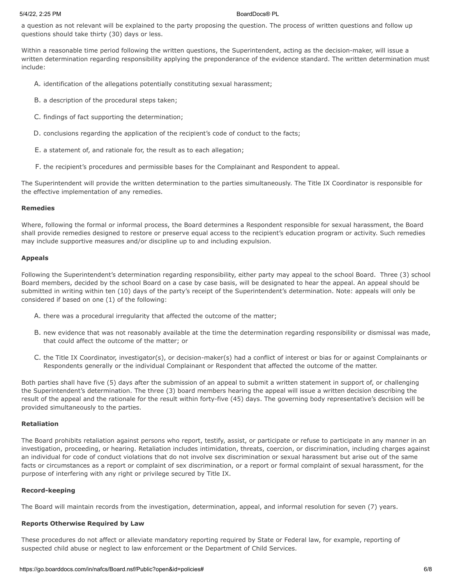a question as not relevant will be explained to the party proposing the question. The process of written questions and follow up questions should take thirty (30) days or less.

Within a reasonable time period following the written questions, the Superintendent, acting as the decision-maker, will issue a written determination regarding responsibility applying the preponderance of the evidence standard. The written determination must include:

- A. identification of the allegations potentially constituting sexual harassment;
- B. a description of the procedural steps taken;
- C. findings of fact supporting the determination;
- D. conclusions regarding the application of the recipient's code of conduct to the facts;
- E. a statement of, and rationale for, the result as to each allegation;
- F. the recipient's procedures and permissible bases for the Complainant and Respondent to appeal.

The Superintendent will provide the written determination to the parties simultaneously. The Title IX Coordinator is responsible for the effective implementation of any remedies.

### **Remedies**

Where, following the formal or informal process, the Board determines a Respondent responsible for sexual harassment, the Board shall provide remedies designed to restore or preserve equal access to the recipient's education program or activity. Such remedies may include supportive measures and/or discipline up to and including expulsion.

### **Appeals**

Following the Superintendent's determination regarding responsibility, either party may appeal to the school Board. Three (3) school Board members, decided by the school Board on a case by case basis, will be designated to hear the appeal. An appeal should be submitted in writing within ten (10) days of the party's receipt of the Superintendent's determination. Note: appeals will only be considered if based on one (1) of the following:

- A. there was a procedural irregularity that affected the outcome of the matter;
- B. new evidence that was not reasonably available at the time the determination regarding responsibility or dismissal was made, that could affect the outcome of the matter; or
- C. the Title IX Coordinator, investigator(s), or decision-maker(s) had a conflict of interest or bias for or against Complainants or Respondents generally or the individual Complainant or Respondent that affected the outcome of the matter.

Both parties shall have five (5) days after the submission of an appeal to submit a written statement in support of, or challenging the Superintendent's determination. The three (3) board members hearing the appeal will issue a written decision describing the result of the appeal and the rationale for the result within forty-five (45) days. The governing body representative's decision will be provided simultaneously to the parties.

### **Retaliation**

The Board prohibits retaliation against persons who report, testify, assist, or participate or refuse to participate in any manner in an investigation, proceeding, or hearing. Retaliation includes intimidation, threats, coercion, or discrimination, including charges against an individual for code of conduct violations that do not involve sex discrimination or sexual harassment but arise out of the same facts or circumstances as a report or complaint of sex discrimination, or a report or formal complaint of sexual harassment, for the purpose of interfering with any right or privilege secured by Title IX.

## **Record-keeping**

The Board will maintain records from the investigation, determination, appeal, and informal resolution for seven (7) years.

## **Reports Otherwise Required by Law**

These procedures do not affect or alleviate mandatory reporting required by State or Federal law, for example, reporting of suspected child abuse or neglect to law enforcement or the Department of Child Services.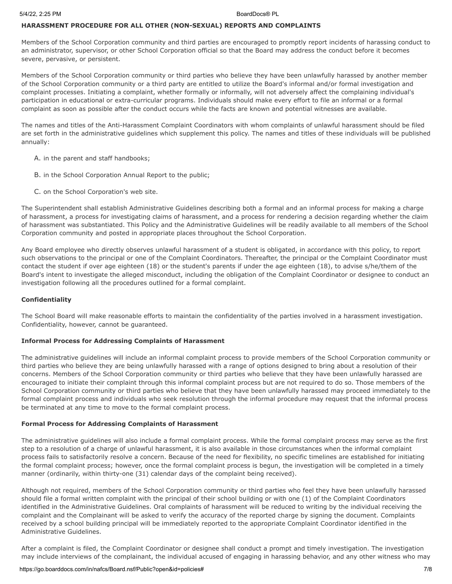# **HARASSMENT PROCEDURE FOR ALL OTHER (NON-SEXUAL) REPORTS AND COMPLAINTS**

Members of the School Corporation community and third parties are encouraged to promptly report incidents of harassing conduct to an administrator, supervisor, or other School Corporation official so that the Board may address the conduct before it becomes severe, pervasive, or persistent.

Members of the School Corporation community or third parties who believe they have been unlawfully harassed by another member of the School Corporation community or a third party are entitled to utilize the Board's informal and/or formal investigation and complaint processes. Initiating a complaint, whether formally or informally, will not adversely affect the complaining individual's participation in educational or extra-curricular programs. Individuals should make every effort to file an informal or a formal complaint as soon as possible after the conduct occurs while the facts are known and potential witnesses are available.

The names and titles of the Anti-Harassment Complaint Coordinators with whom complaints of unlawful harassment should be filed are set forth in the administrative guidelines which supplement this policy. The names and titles of these individuals will be published annually:

- A. in the parent and staff handbooks;
- B. in the School Corporation Annual Report to the public;
- C. on the School Corporation's web site.

The Superintendent shall establish Administrative Guidelines describing both a formal and an informal process for making a charge of harassment, a process for investigating claims of harassment, and a process for rendering a decision regarding whether the claim of harassment was substantiated. This Policy and the Administrative Guidelines will be readily available to all members of the School Corporation community and posted in appropriate places throughout the School Corporation.

Any Board employee who directly observes unlawful harassment of a student is obligated, in accordance with this policy, to report such observations to the principal or one of the Complaint Coordinators. Thereafter, the principal or the Complaint Coordinator must contact the student if over age eighteen (18) or the student's parents if under the age eighteen (18), to advise s/he/them of the Board's intent to investigate the alleged misconduct, including the obligation of the Complaint Coordinator or designee to conduct an investigation following all the procedures outlined for a formal complaint.

### **Confidentiality**

The School Board will make reasonable efforts to maintain the confidentiality of the parties involved in a harassment investigation. Confidentiality, however, cannot be guaranteed.

## **Informal Process for Addressing Complaints of Harassment**

The administrative guidelines will include an informal complaint process to provide members of the School Corporation community or third parties who believe they are being unlawfully harassed with a range of options designed to bring about a resolution of their concerns. Members of the School Corporation community or third parties who believe that they have been unlawfully harassed are encouraged to initiate their complaint through this informal complaint process but are not required to do so. Those members of the School Corporation community or third parties who believe that they have been unlawfully harassed may proceed immediately to the formal complaint process and individuals who seek resolution through the informal procedure may request that the informal process be terminated at any time to move to the formal complaint process.

### **Formal Process for Addressing Complaints of Harassment**

The administrative guidelines will also include a formal complaint process. While the formal complaint process may serve as the first step to a resolution of a charge of unlawful harassment, it is also available in those circumstances when the informal complaint process fails to satisfactorily resolve a concern. Because of the need for flexibility, no specific timelines are established for initiating the formal complaint process; however, once the formal complaint process is begun, the investigation will be completed in a timely manner (ordinarily, within thirty-one (31) calendar days of the complaint being received).

Although not required, members of the School Corporation community or third parties who feel they have been unlawfully harassed should file a formal written complaint with the principal of their school building or with one (1) of the Complaint Coordinators identified in the Administrative Guidelines. Oral complaints of harassment will be reduced to writing by the individual receiving the complaint and the Complainant will be asked to verify the accuracy of the reported charge by signing the document. Complaints received by a school building principal will be immediately reported to the appropriate Complaint Coordinator identified in the Administrative Guidelines.

After a complaint is filed, the Complaint Coordinator or designee shall conduct a prompt and timely investigation. The investigation may include interviews of the complainant, the individual accused of engaging in harassing behavior, and any other witness who may